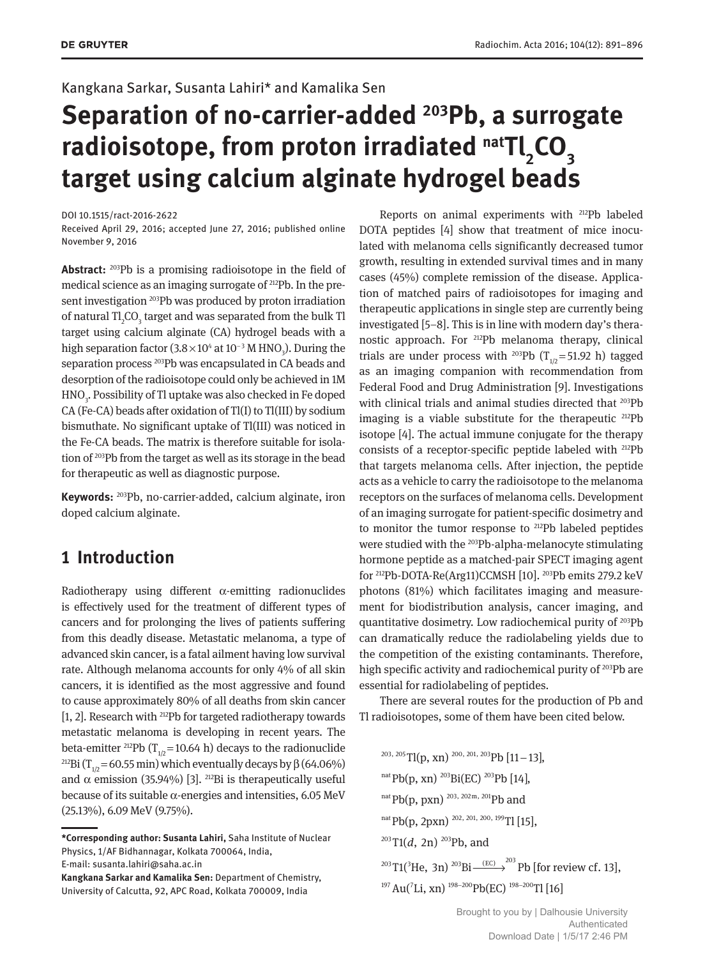## Kangkana Sarkar, Susanta Lahiri\* and Kamalika Sen

# **Separation of no-carrier-added <sup>203</sup>Pb, a surrogate radioisotope, from proton irradiated natTl<sup>2</sup> CO<sup>3</sup> target using calcium alginate hydrogel beads**

DOI 10.1515/ract-2016-2622

Received April 29, 2016; accepted June 27, 2016; published online November 9, 2016

**Abstract:** <sup>203</sup>Pb is a promising radioisotope in the field of medical science as an imaging surrogate of 212Pb. In the present investigation <sup>203</sup>Pb was produced by proton irradiation of natural Tl<sub>2</sub>CO<sub>3</sub> target and was separated from the bulk Tl target using calcium alginate (CA) hydrogel beads with a high separation factor (3.8 $\times$ 10<sup>4</sup> at 10<sup>-3</sup> M HNO<sub>3</sub>). During the separation process <sup>203</sup>Pb was encapsulated in CA beads and desorption of the radioisotope could only be achieved in 1M HNO<sub>3</sub>. Possibility of Tl uptake was also checked in Fe doped CA (Fe-CA) beads after oxidation of Tl(I) to Tl(III) by sodium bismuthate. No significant uptake of Tl(III) was noticed in the Fe-CA beads. The matrix is therefore suitable for isolation of <sup>203</sup>Pb from the target as well as its storage in the bead for therapeutic as well as diagnostic purpose.

**Keywords:** <sup>203</sup>Pb, no-carrier-added, calcium alginate, iron doped calcium alginate.

# **1 Introduction**

Radiotherapy using different α-emitting radionuclides is effectively used for the treatment of different types of cancers and for prolonging the lives of patients suffering from this deadly disease. Metastatic melanoma, a type of advanced skin cancer, is a fatal ailment having low survival rate. Although melanoma accounts for only 4% of all skin cancers, it is identified as the most aggressive and found to cause approximately 80% of all deaths from skin cancer [1, 2]. Research with <sup>212</sup>Pb for targeted radiotherapy towards metastatic melanoma is developing in recent years. The beta-emitter <sup>212</sup>Pb ( $T_{1/2}$ =10.64 h) decays to the radionuclide <sup>212</sup>Bi (T<sub>1/2</sub> = 60.55 min) which eventually decays by  $\beta$  (64.06%) and α emission (35.94%) [3]. <sup>212</sup>Bi is therapeutically useful because of its suitable  $\alpha$ -energies and intensities, 6.05 MeV (25.13%), 6.09 MeV (9.75%).

Reports on animal experiments with <sup>212</sup>Pb labeled DOTA peptides [4] show that treatment of mice inoculated with melanoma cells significantly decreased tumor growth, resulting in extended survival times and in many cases (45%) complete remission of the disease. Application of matched pairs of radioisotopes for imaging and therapeutic applications in single step are currently being investigated [5–8]. This is in line with modern day's theranostic approach. For <sup>212</sup>Pb melanoma therapy, clinical trials are under process with <sup>203</sup>Pb ( $T_{1/2}$ =51.92 h) tagged as an imaging companion with recommendation from Federal Food and Drug Administration [9]. Investigations with clinical trials and animal studies directed that <sup>203</sup>Pb imaging is a viable substitute for the therapeutic  $212$ Pb isotope [4]. The actual immune conjugate for the therapy consists of a receptor-specific peptide labeled with <sup>212</sup>Pb that targets melanoma cells. After injection, the peptide acts as a vehicle to carry the radioisotope to the melanoma receptors on the surfaces of melanoma cells. Development of an imaging surrogate for patient-specific dosimetry and to monitor the tumor response to <sup>212</sup>Pb labeled peptides were studied with the <sup>203</sup>Pb-alpha-melanocyte stimulating hormone peptide as a matched-pair SPECT imaging agent for <sup>212</sup>Pb-DOTA-Re(Arg11)CCMSH [10]. <sup>203</sup>Pb emits 279.2 keV photons (81%) which facilitates imaging and measurement for biodistribution analysis, cancer imaging, and quantitative dosimetry. Low radiochemical purity of <sup>203</sup>Pb can dramatically reduce the radiolabeling yields due to the competition of the existing contaminants. Therefore, high specific activity and radiochemical purity of <sup>203</sup>Pb are essential for radiolabeling of peptides.

There are several routes for the production of Pb and Tl radioisotopes, some of them have been cited below.

 $^{203, 205}$  Tl(p, xn)<sup>200, 201, 203</sup>Pb [11-13], <sup>203</sup> T1(<sup>3</sup>He, 3n) <sup>203</sup>Bi<sup>—(EC)</sup>  $\rightarrow$ <sup>203</sup>Pb [for review cf. 13],  $A<sup>nat</sup>Pb(p, xn) <sup>203</sup>Bi(EC) <sup>203</sup>Pb [14],$  $_{\text{nat}}$ Pb(p, pxn)  $_{\text{203, 202m, 201}}$ Pb and  $\rm{^{nat}Pb(p,2pxn)}$   $\rm{^{202,~201,~200,~199}Tl$  [15],  $203$ T1(d, 2n)<sup>203</sup>Pb, and <sup>197</sup> Au(<sup>7</sup>Li, xn)<sup>198-200</sup>Pb(EC)<sup>198-200</sup>Tl [16]

**<sup>\*</sup>Corresponding author: Susanta Lahiri,** Saha Institute of Nuclear Physics, 1/AF Bidhannagar, Kolkata 700064, India, E-mail: susanta.lahiri@saha.ac.in

**Kangkana Sarkar and Kamalika Sen:** Department of Chemistry, University of Calcutta, 92, APC Road, Kolkata 700009, India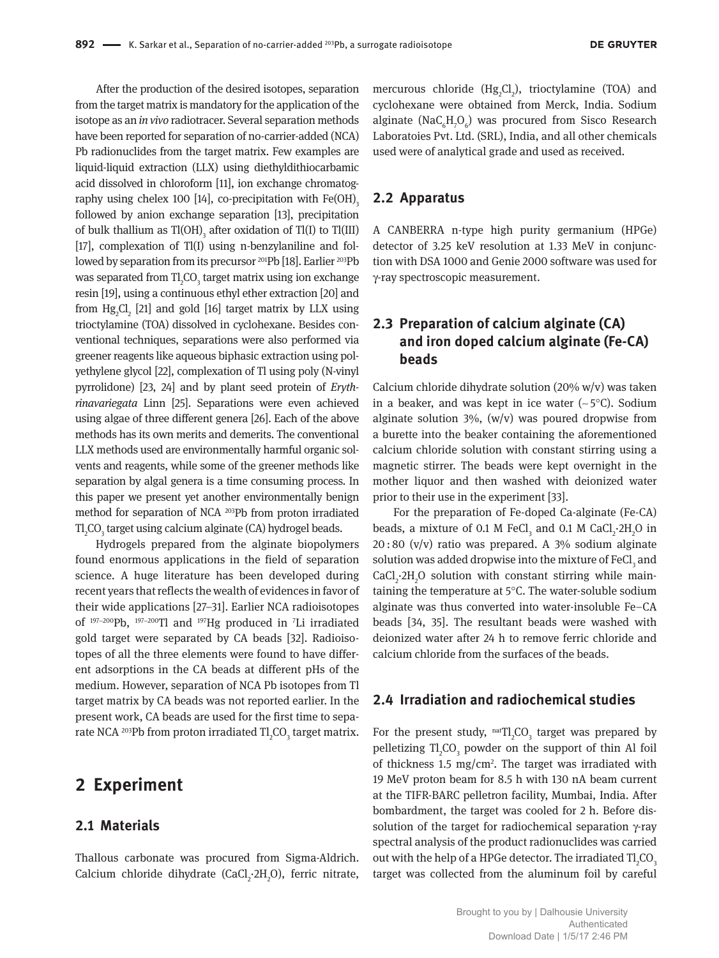After the production of the desired isotopes, separation from the target matrix is mandatory for the application of the isotope as an *in vivo* radiotracer. Several separation methods have been reported for separation of no-carrier-added (NCA) Pb radionuclides from the target matrix. Few examples are liquid-liquid extraction (LLX) using diethyldithiocarbamic acid dissolved in chloroform [11], ion exchange chromatography using chelex 100 [14], co-precipitation with  $Fe(OH)$ <sub>2</sub> followed by anion exchange separation [13], precipitation of bulk thallium as  $TI(OH)$ <sub>3</sub> after oxidation of Tl(I) to Tl(III) [17], complexation of Tl(I) using n-benzylaniline and followed by separation from its precursor <sup>201</sup>Pb [18]. Earlier <sup>203</sup>Pb was separated from  $\mathrm{TI}_2\mathrm{CO}_3$  target matrix using ion exchange resin [19], using a continuous ethyl ether extraction [20] and from  $Hg_2Cl_2$  [21] and gold [16] target matrix by LLX using trioctylamine (TOA) dissolved in cyclohexane. Besides conventional techniques, separations were also performed via greener reagents like aqueous biphasic extraction using polyethylene glycol [22], complexation of Tl using poly (N-vinyl pyrrolidone) [23, 24] and by plant seed protein of *Erythrinavariegata* Linn [25]. Separations were even achieved using algae of three different genera [26]. Each of the above methods has its own merits and demerits. The conventional LLX methods used are environmentally harmful organic solvents and reagents, while some of the greener methods like separation by algal genera is a time consuming process. In this paper we present yet another environmentally benign method for separation of NCA <sup>203</sup>Pb from proton irradiated  $\mathrm{TI}_\mathrm{_2}\mathrm{CO}_\mathrm{_3}$  target using calcium alginate (CA) hydrogel beads.

Hydrogels prepared from the alginate biopolymers found enormous applications in the field of separation science. A huge literature has been developed during recent years that reflects the wealth of evidences in favor of their wide applications [27–31]. Earlier NCA radioisotopes of <sup>197</sup>−<sup>200</sup>Pb, <sup>197</sup>−<sup>200</sup>Tl and <sup>197</sup>Hg produced in <sup>7</sup>Li irradiated gold target were separated by CA beads [32]. Radioisotopes of all the three elements were found to have different adsorptions in the CA beads at different pHs of the medium. However, separation of NCA Pb isotopes from Tl target matrix by CA beads was not reported earlier. In the present work, CA beads are used for the first time to separate NCA  $^{203}\mathrm{Pb}$  from proton irradiated Tl $_{2}$ CO $_{3}$  target matrix.

### **2 Experiment**

#### **2.1 Materials**

Thallous carbonate was procured from Sigma-Aldrich. Calcium chloride dihydrate (CaCl<sub>2</sub>·2H<sub>2</sub>O), ferric nitrate,

mercurous chloride  $(Hg_2Cl_2)$ , trioctylamine (TOA) and cyclohexane were obtained from Merck, India. Sodium alginate ( $\text{NaC}_{6} \text{H}_{7}\text{O}_{6}$ ) was procured from Sisco Research Laboratoies Pvt. Ltd. (SRL), India, and all other chemicals used were of analytical grade and used as received.

#### **2.2 Apparatus**

A CANBERRA n-type high purity germanium (HPGe) detector of 3.25 keV resolution at 1.33 MeV in conjunction with DSA 1000 and Genie 2000 software was used for γ-ray spectroscopic measurement.

## **2.3 Preparation of calcium alginate (CA) and iron doped calcium alginate (Fe-CA) beads**

Calcium chloride dihydrate solution (20% w/v) was taken in a beaker, and was kept in ice water (∼ 5°C). Sodium alginate solution  $3\%$ ,  $(w/v)$  was poured dropwise from a burette into the beaker containing the aforementioned calcium chloride solution with constant stirring using a magnetic stirrer. The beads were kept overnight in the mother liquor and then washed with deionized water prior to their use in the experiment [33].

For the preparation of Fe-doped Ca-alginate (Fe-CA) beads, a mixture of 0.1 M FeCl $_3$  and 0.1 M CaCl $_2$ ·2H $_2$ O in 20 : 80 (v/v) ratio was prepared. A 3% sodium alginate solution was added dropwise into the mixture of  ${\rm FeCl}_{\rm _3}$  and  $CaCl<sub>2</sub>·2H<sub>2</sub>O$  solution with constant stirring while maintaining the temperature at 5°C. The water-soluble sodium alginate was thus converted into water-insoluble Fe–CA beads [34, 35]. The resultant beads were washed with deionized water after 24 h to remove ferric chloride and calcium chloride from the surfaces of the beads.

#### **2.4 Irradiation and radiochemical studies**

For the present study,  $\text{natTl}_2CO_3$  target was prepared by pelletizing  $Tl_2CO_3$  powder on the support of thin Al foil of thickness  $1.5 \text{ mg/cm}^2$ . The target was irradiated with 19 MeV proton beam for 8.5 h with 130 nA beam current at the TIFR-BARC pelletron facility, Mumbai, India. After bombardment, the target was cooled for 2 h. Before dissolution of the target for radiochemical separation γ-ray spectral analysis of the product radionuclides was carried out with the help of a HPGe detector. The irradiated  $\mathrm{TI}_\mathrm{_2}\mathrm{CO}_\mathrm{_3}$ target was collected from the aluminum foil by careful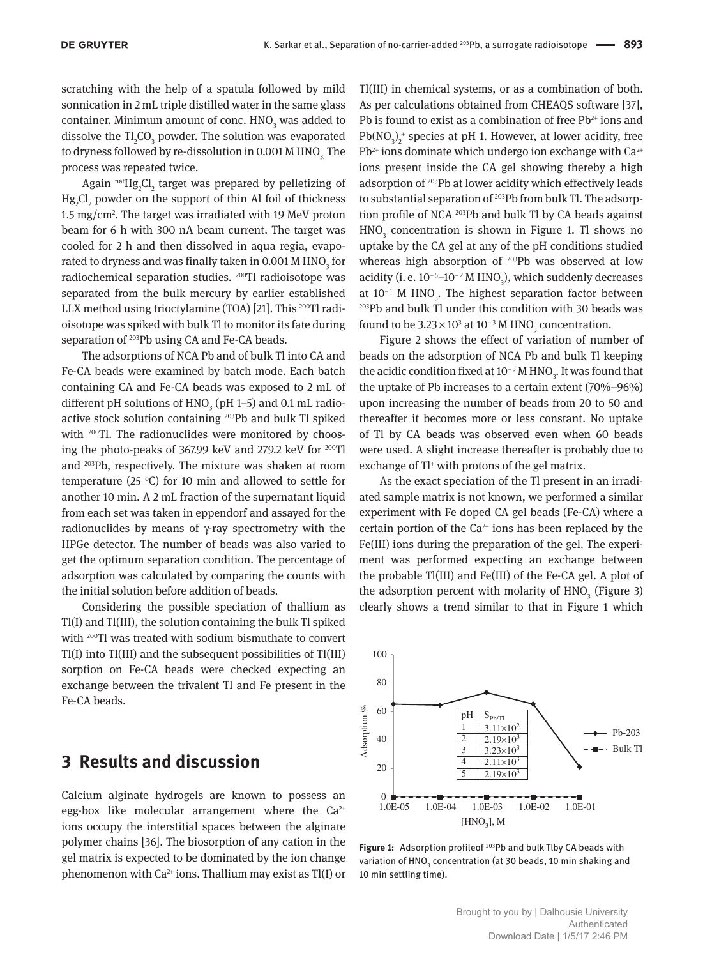scratching with the help of a spatula followed by mild sonnication in 2 mL triple distilled water in the same glass container. Minimum amount of conc.  $HNO<sub>3</sub>$  was added to dissolve the  $TI_2CO_3$  powder. The solution was evaporated to dryness followed by re-dissolution in 0.001 M HNO<sub>2</sub>. The process was repeated twice.

Again  $\mathrm{^{nat}Hg_2Cl}_{2}$  target was prepared by pelletizing of  $Hg_2Cl_2$  powder on the support of thin Al foil of thickness 1.5 mg/cm<sup>2</sup>. The target was irradiated with 19 MeV proton beam for 6 h with 300 nA beam current. The target was cooled for 2 h and then dissolved in aqua regia, evaporated to dryness and was finally taken in 0.001 M HNO $_{\rm_3}$  for radiochemical separation studies. <sup>200</sup>Tl radioisotope was separated from the bulk mercury by earlier established LLX method using trioctylamine (TOA) [21]. This 200Tl radioisotope was spiked with bulk Tl to monitor its fate during separation of <sup>203</sup>Pb using CA and Fe-CA beads.

The adsorptions of NCA Pb and of bulk Tl into CA and Fe-CA beads were examined by batch mode. Each batch containing CA and Fe-CA beads was exposed to 2 mL of different pH solutions of  $HNO<sub>3</sub>$  (pH 1–5) and 0.1 mL radioactive stock solution containing <sup>203</sup>Pb and bulk Tl spiked with <sup>200</sup>Tl. The radionuclides were monitored by choosing the photo-peaks of 367.99 keV and 279.2 keV for <sup>200</sup>Tl and <sup>203</sup>Pb, respectively. The mixture was shaken at room temperature (25  $\degree$ C) for 10 min and allowed to settle for another 10 min. A 2 mL fraction of the supernatant liquid from each set was taken in eppendorf and assayed for the radionuclides by means of  $\gamma$ -ray spectrometry with the HPGe detector. The number of beads was also varied to get the optimum separation condition. The percentage of adsorption was calculated by comparing the counts with the initial solution before addition of beads.

Considering the possible speciation of thallium as Tl(I) and Tl(III), the solution containing the bulk Tl spiked with <sup>200</sup>Tl was treated with sodium bismuthate to convert Tl(I) into Tl(III) and the subsequent possibilities of Tl(III) sorption on Fe-CA beads were checked expecting an exchange between the trivalent Tl and Fe present in the Fe-CA beads.

## **3 Results and discussion**

Calcium alginate hydrogels are known to possess an egg-box like molecular arrangement where the  $Ca^{2+}$ ions occupy the interstitial spaces between the alginate polymer chains [36]. The biosorption of any cation in the gel matrix is expected to be dominated by the ion change phenomenon with  $Ca^{2+}$  ions. Thallium may exist as Tl(I) or

Tl(III) in chemical systems, or as a combination of both. As per calculations obtained from CHEAQS software [37], Pb is found to exist as a combination of free  $Pb^{2+}$  ions and  $Pb(NO<sub>3</sub>)<sub>2</sub><sup>+</sup>$  species at pH 1. However, at lower acidity, free  $Pb^{2+}$  ions dominate which undergo ion exchange with Ca $^{2+}$ ions present inside the CA gel showing thereby a high adsorption of <sup>203</sup>Pb at lower acidity which effectively leads to substantial separation of <sup>203</sup>Pb from bulk Tl. The adsorption profile of NCA <sup>203</sup>Pb and bulk Tl by CA beads against  $HNO<sub>3</sub>$  concentration is shown in Figure 1. Tl shows no uptake by the CA gel at any of the pH conditions studied whereas high absorption of <sup>203</sup>Pb was observed at low acidity (i. e.  $10^{-5}$ – $10^{-2}$  M HNO<sub>3</sub>), which suddenly decreases at 10<sup>−1</sup> M HNO<sub>3</sub>. The highest separation factor between <sup>203</sup>Pb and bulk Tl under this condition with 30 beads was found to be 3.23 $\times$ 10<sup>3</sup> at 10<sup>-3</sup> M HNO<sub>3</sub> concentration.

Figure 2 shows the effect of variation of number of beads on the adsorption of NCA Pb and bulk Tl keeping the acidic condition fixed at 10<sup>-3</sup> M HNO<sub>3</sub>. It was found that the uptake of Pb increases to a certain extent (70%–96%) upon increasing the number of beads from 20 to 50 and thereafter it becomes more or less constant. No uptake of Tl by CA beads was observed even when 60 beads were used. A slight increase thereafter is probably due to exchange of Tl<sup>+</sup> with protons of the gel matrix.

As the exact speciation of the Tl present in an irradiated sample matrix is not known, we performed a similar experiment with Fe doped CA gel beads (Fe-CA) where a certain portion of the  $Ca^{2+}$  ions has been replaced by the Fe(III) ions during the preparation of the gel. The experiment was performed expecting an exchange between the probable Tl(III) and Fe(III) of the Fe-CA gel. A plot of the adsorption percent with molarity of  $HNO<sub>3</sub>$  (Figure 3) clearly shows a trend similar to that in Figure 1 which



Figure 1: Adsorption profileof<sup>203</sup>Pb and bulk Tlby CA beads with variation of HNO<sub>3</sub> concentration (at 30 beads, 10 min shaking and 10 min settling time).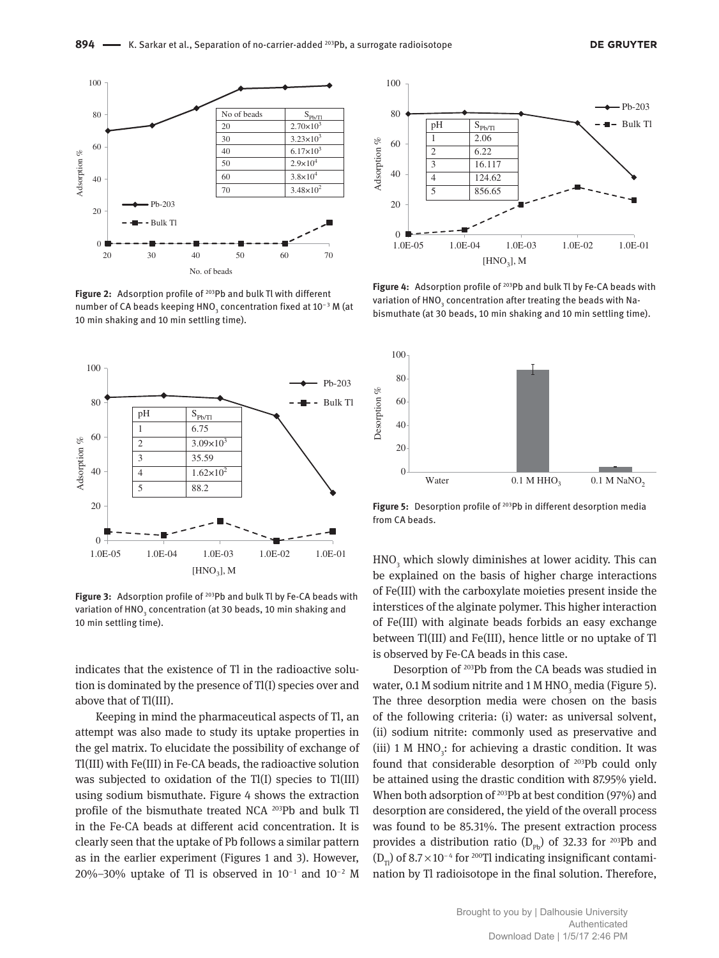

**Figure 2:** Adsorption profile of <sup>203</sup>Pb and bulk Tl with different number of CA beads keeping HNO $_{_3}$  concentration fixed at 10−3 M (at 10 min shaking and 10 min settling time).



Figure 3: Adsorption profile of <sup>203</sup>Pb and bulk Tl by Fe-CA beads with variation of HNO<sub>3</sub> concentration (at 30 beads, 10 min shaking and 10 min settling time).

indicates that the existence of Tl in the radioactive solution is dominated by the presence of Tl(I) species over and above that of Tl(III).

Keeping in mind the pharmaceutical aspects of Tl, an attempt was also made to study its uptake properties in the gel matrix. To elucidate the possibility of exchange of Tl(III) with Fe(III) in Fe-CA beads, the radioactive solution was subjected to oxidation of the Tl(I) species to Tl(III) using sodium bismuthate. Figure 4 shows the extraction profile of the bismuthate treated NCA <sup>203</sup>Pb and bulk Tl in the Fe-CA beads at different acid concentration. It is clearly seen that the uptake of Pb follows a similar pattern as in the earlier experiment (Figures 1 and 3). However, 20%–30% uptake of Tl is observed in  $10^{-1}$  and  $10^{-2}$  M



Figure 4: Adsorption profile of <sup>203</sup>Pb and bulk Tl by Fe-CA beads with variation of HNO $_{_3}$  concentration after treating the beads with Nabismuthate (at 30 beads, 10 min shaking and 10 min settling time).



Figure 5: Desorption profile of <sup>203</sup>Pb in different desorption media from CA beads.

 $HNO<sub>3</sub>$  which slowly diminishes at lower acidity. This can be explained on the basis of higher charge interactions of Fe(III) with the carboxylate moieties present inside the interstices of the alginate polymer. This higher interaction of Fe(III) with alginate beads forbids an easy exchange between Tl(III) and Fe(III), hence little or no uptake of Tl is observed by Fe-CA beads in this case.

Desorption of <sup>203</sup>Pb from the CA beads was studied in water, 0.1 M sodium nitrite and 1 M HNO<sub>3</sub> media (Figure 5). The three desorption media were chosen on the basis of the following criteria: (i) water: as universal solvent, (ii) sodium nitrite: commonly used as preservative and (iii) 1 M  $HNO<sub>3</sub>$ : for achieving a drastic condition. It was found that considerable desorption of <sup>203</sup>Pb could only be attained using the drastic condition with 87.95% yield. When both adsorption of <sup>203</sup>Pb at best condition (97%) and desorption are considered, the yield of the overall process was found to be 85.31%. The present extraction process provides a distribution ratio ( $D_{\rm ph}$ ) of 32.33 for <sup>203</sup>Pb and (D<sub>rv</sub>) of 8.7×10<sup>-4</sup> for <sup>200</sup>Tl indicating insignificant contamination by Tl radioisotope in the final solution. Therefore,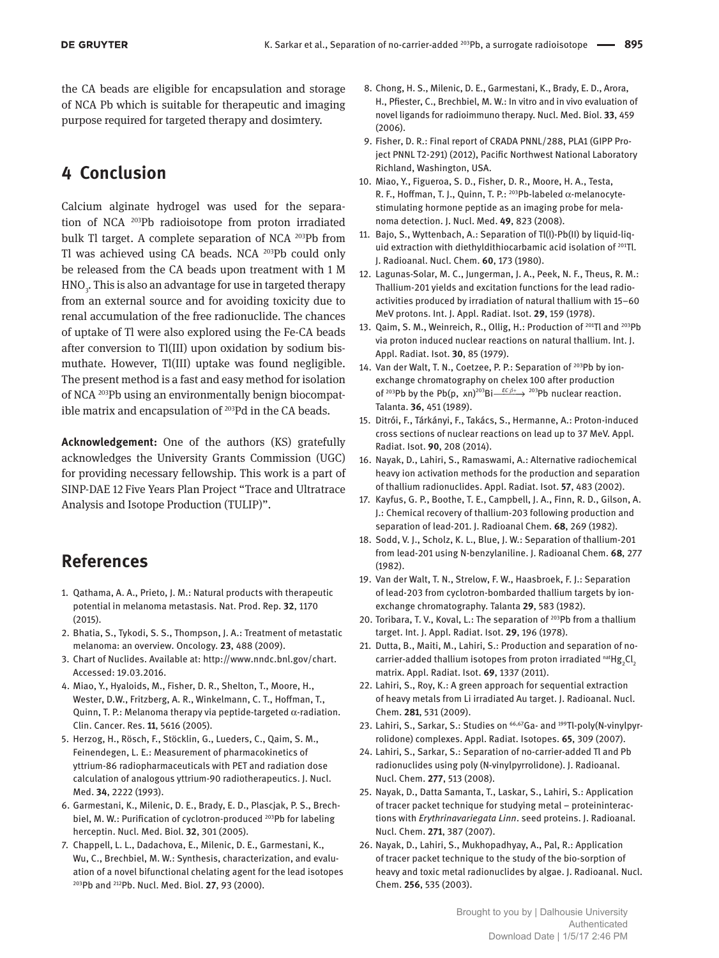the CA beads are eligible for encapsulation and storage of NCA Pb which is suitable for therapeutic and imaging purpose required for targeted therapy and dosimtery.

# **4 Conclusion**

Calcium alginate hydrogel was used for the separation of NCA <sup>203</sup>Pb radioisotope from proton irradiated bulk Tl target. A complete separation of NCA <sup>203</sup>Pb from Tl was achieved using CA beads. NCA <sup>203</sup>Pb could only be released from the CA beads upon treatment with 1 M  $\rm HNO_{_3}$ . This is also an advantage for use in targeted therapy from an external source and for avoiding toxicity due to renal accumulation of the free radionuclide. The chances of uptake of Tl were also explored using the Fe-CA beads after conversion to Tl(III) upon oxidation by sodium bismuthate. However, Tl(III) uptake was found negligible. The present method is a fast and easy method for isolation of NCA 203Pb using an environmentally benign biocompatible matrix and encapsulation of <sup>203</sup>Pd in the CA beads.

**Acknowledgement:** One of the authors (KS) gratefully acknowledges the University Grants Commission (UGC) for providing necessary fellowship. This work is a part of SINP-DAE 12 Five Years Plan Project "Trace and Ultratrace Analysis and Isotope Production (TULIP)".

## **References**

- 1. Qathama, A. A., Prieto, J. M.: Natural products with therapeutic potential in melanoma metastasis. Nat. Prod. Rep. **32**, 1170 (2015).
- 2. Bhatia, S., Tykodi, S. S., Thompson, J. A.: Treatment of metastatic melanoma: an overview. Oncology. **23**, 488 (2009).
- 3. Chart of Nuclides. Available at: http://www.nndc.bnl.gov/chart. Accessed: 19.03.2016.
- 4. Miao, Y., Hyaloids, M., Fisher, D. R., Shelton, T., Moore, H., Wester, D.W., Fritzberg, A. R., Winkelmann, C. T., Hoffman, T., Quinn, T. P.: Melanoma therapy via peptide-targeted  $\alpha$ -radiation. Clin. Cancer. Res. **11**, 5616 (2005).
- 5. Herzog, H., Rösch, F., Stöcklin, G., Lueders, C., Qaim, S. M., Feinendegen, L. E.: Measurement of pharmacokinetics of yttrium-86 radiopharmaceuticals with PET and radiation dose calculation of analogous yttrium-90 radiotherapeutics. J. Nucl. Med. **34**, 2222 (1993).
- 6. Garmestani, K., Milenic, D. E., Brady, E. D., Plascjak, P. S., Brechbiel, M. W.: Purification of cyclotron-produced <sup>203</sup>Pb for labeling herceptin. Nucl. Med. Biol. **32**, 301 (2005).
- 7. Chappell, L. L., Dadachova, E., Milenic, D. E., Garmestani, K., Wu, C., Brechbiel, M. W.: Synthesis, characterization, and evaluation of a novel bifunctional chelating agent for the lead isotopes <sup>203</sup>Pb and <sup>212</sup>Pb. Nucl. Med. Biol. **27**, 93 (2000).
- 8. Chong, H. S., Milenic, D. E., Garmestani, K., Brady, E. D., Arora, H., Pfiester, C., Brechbiel, M. W.: In vitro and in vivo evaluation of novel ligands for radioimmuno therapy. Nucl. Med. Biol. **33**, 459 (2006).
- 9. Fisher, D. R.: Final report of CRADA PNNL/288, PLA1 (GIPP Project PNNL T2-291) (2012), Pacific Northwest National Laboratory Richland, Washington, USA.
- 10. Miao, Y., Figueroa, S. D., Fisher, D. R., Moore, H. A., Testa, R. F., Hoffman, T. J., Quinn, T. P.: 203Pb-labeled α-melanocytestimulating hormone peptide as an imaging probe for melanoma detection. J. Nucl. Med. **49**, 823 (2008).
- 11. Bajo, S., Wyttenbach, A.: Separation of Tl(I)-Pb(II) by liquid-liquid extraction with diethyldithiocarbamic acid isolation of <sup>201</sup>Tl. J. Radioanal. Nucl. Chem. **60**, 173 (1980).
- 12. Lagunas-Solar, M. C., Jungerman, J. A., Peek, N. F., Theus, R. M.: Thallium-201 yields and excitation functions for the lead radioactivities produced by irradiation of natural thallium with 15–60 MeV protons. Int. J. Appl. Radiat. Isot. **29**, 159 (1978).
- 13. Qaim, S. M., Weinreich, R., Ollig, H.: Production of <sup>201</sup>Tl and <sup>203</sup>Pb via proton induced nuclear reactions on natural thallium. Int. J. Appl. Radiat. Isot. **30**, 85 (1979).
- 14. Van der Walt, T. N., Coetzee, P. P.: Separation of <sup>203</sup>Pb by ionexchange chromatography on chelex 100 after production of <sup>203</sup>Pb by the Pb(p, xn)<sup>203</sup>Bi<sup>-EC</sup><sub>*β*<sup>+</sup> →</sub> <sup>203</sup>Pb nuclear reaction. Talanta. **36**, 451 (1989).
- 15. Ditrói, F., Tárkányi, F., Takács, S., Hermanne, A.: Proton-induced cross sections of nuclear reactions on lead up to 37 MeV. Appl. Radiat. Isot. **90**, 208 (2014).
- 16. Nayak, D., Lahiri, S., Ramaswami, A.: Alternative radiochemical heavy ion activation methods for the production and separation of thallium radionuclides. Appl. Radiat. Isot. **57**, 483 (2002).
- 17. Kayfus, G. P., Boothe, T. E., Campbell, J. A., Finn, R. D., Gilson, A. J.: Chemical recovery of thallium-203 following production and separation of lead-201. J. Radioanal Chem. **68**, 269 (1982).
- 18. Sodd, V. J., Scholz, K. L., Blue, J. W.: Separation of thallium-201 from lead-201 using N-benzylaniline. J. Radioanal Chem. **68**, 277 (1982).
- 19. Van der Walt, T. N., Strelow, F. W., Haasbroek, F. J.: Separation of lead-203 from cyclotron-bombarded thallium targets by ionexchange chromatography. Talanta **29**, 583 (1982).
- 20. Toribara, T. V., Koval, L.: The separation of <sup>203</sup>Pb from a thallium target. Int. J. Appl. Radiat. Isot. **29**, 196 (1978).
- 21. Dutta, B., Maiti, M., Lahiri, S.: Production and separation of nocarrier-added thallium isotopes from proton irradiated  $\mathrm{^{nat}Hg}_{2}Cl_{2}$ matrix. Appl. Radiat. Isot. **69**, 1337 (2011).
- 22. Lahiri, S., Roy, K.: A green approach for sequential extraction of heavy metals from Li irradiated Au target. J. Radioanal. Nucl. Chem. **281**, 531 (2009).
- 23. Lahiri, S., Sarkar, S.: Studies on <sup>66,67</sup>Ga- and <sup>199</sup>Tl-poly(N-vinylpyrrolidone) complexes. Appl. Radiat. Isotopes. **65**, 309 (2007).
- 24. Lahiri, S., Sarkar, S.: Separation of no-carrier-added Tl and Pb radionuclides using poly (N-vinylpyrrolidone). J. Radioanal. Nucl. Chem. **277**, 513 (2008).
- 25. Nayak, D., Datta Samanta, T., Laskar, S., Lahiri, S.: Application of tracer packet technique for studying metal – proteininteractions with *Erythrinavariegata Linn*. seed proteins. J. Radioanal. Nucl. Chem. **271**, 387 (2007).
- 26. Nayak, D., Lahiri, S., Mukhopadhyay, A., Pal, R.: Application of tracer packet technique to the study of the bio-sorption of heavy and toxic metal radionuclides by algae. J. Radioanal. Nucl. Chem. **256**, 535 (2003).